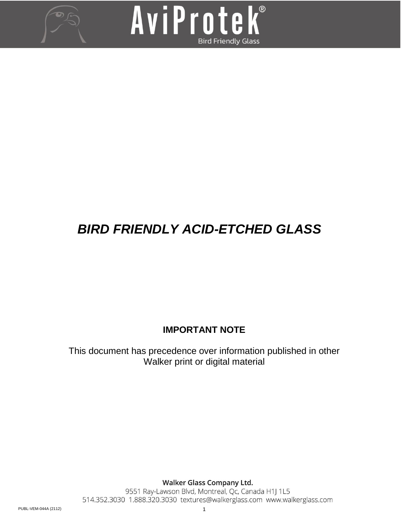



# *BIRD FRIENDLY ACID-ETCHED GLASS*

# **IMPORTANT NOTE**

This document has precedence over information published in other Walker print or digital material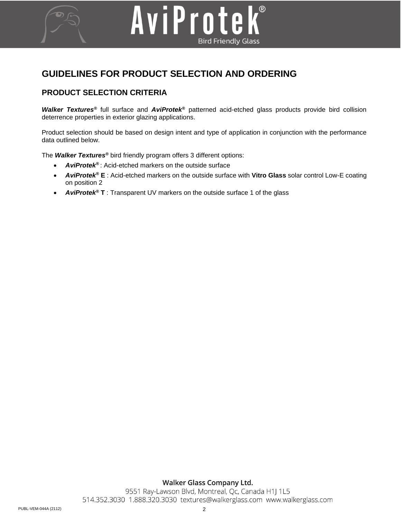# **GUIDELINES FOR PRODUCT SELECTION AND ORDERING**

AviProte

## **PRODUCT SELECTION CRITERIA**

*Walker Textures®* full surface and *AviProtek®* patterned acid-etched glass products provide bird collision deterrence properties in exterior glazing applications.

**Bird Friendly Glass** 

Product selection should be based on design intent and type of application in conjunction with the performance data outlined below.

The *Walker Textures®* bird friendly program offers 3 different options:

- *AviProtek®* : Acid-etched markers on the outside surface
- *AviProtek®* **E** : Acid-etched markers on the outside surface with **Vitro Glass** solar control Low-E coating on position 2
- *AviProtek®* **T** : Transparent UV markers on the outside surface 1 of the glass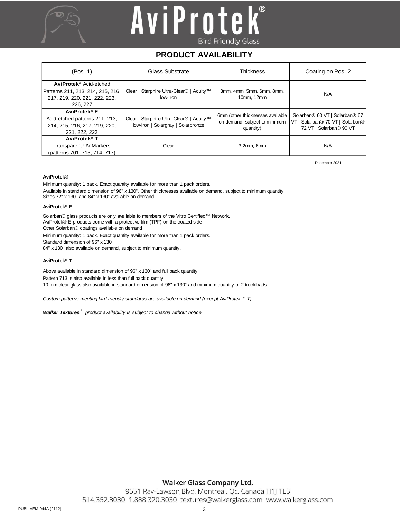



## **PRODUCT AVAILABILITY**

| (Pos. 1)                                                                                                             | Glass Substrate                                                                | <b>Thickness</b>                                                               | Coating on Pos. 2                                                                             |  |
|----------------------------------------------------------------------------------------------------------------------|--------------------------------------------------------------------------------|--------------------------------------------------------------------------------|-----------------------------------------------------------------------------------------------|--|
| AviProtek <sup>®</sup> Acid-etched<br>Patterns 211, 213, 214, 215, 216,<br>217, 219, 220, 221, 222, 223,<br>226, 227 | Clear   Starphire Ultra-Clear®   Acuity™<br>low-iron                           | 3mm, 4mm, 5mm, 6mm, 8mm,<br>10mm. 12mm                                         | <b>N/A</b>                                                                                    |  |
| AviProtek <sup>®</sup> E<br>Acid-etched patterns 211, 213,<br>214, 215, 216, 217, 219, 220,<br>221, 222, 223         | Clear   Starphire Ultra-Clear®   Acuity™<br>low-iron   Solargray   Solarbronze | 6mm (other thicknesses available<br>on demand, subject to minimum<br>quantity) | Solarban® 60 VT   Solarban® 67<br>VT   Solarban® 70 VT   Solarban®<br>72 VT   Solarban® 90 VT |  |
| AviProtek <sup>®</sup> T<br>Transparent UV Markers<br>(patterns 701, 713, 714, 717)                                  | Clear                                                                          | $3.2$ mm. 6 $mm$                                                               | <b>N/A</b>                                                                                    |  |

December 2021

#### **AviProtek®**

Minimum quantity: 1 pack. Exact quantity available for more than 1 pack orders. Available in standard dimension of 96" x 130". Other thicknesses available on demand, subject to minimum quantity Sizes 72" x 130" and 84" x 130" available on demand

#### **AviProtek® E**

Solarban® glass products are only available to members of the Vitro Certified™ Network. AviProtek® E products come with a protective film (TPF) on the coated side Other Solarban® coatings available on demand

Minimum quantity: 1 pack. Exact quantity available for more than 1 pack orders. Standard dimension of 96" x 130".

84" x 130" also available on demand, subject to minimum quantity.

#### **AviProtek® T**

Above available in standard dimension of 96" x 130" and full pack quantity Pattern 713 is also available in less than full pack quantity 10 mm clear glass also available in standard dimension of 96" x 130" and minimum quantity of 2 truckloads

*Custom patterns meeting bird friendly standards are available on demand (except AviProtek ® T)*

*Walker Textures ® product availability is subject to change without notice*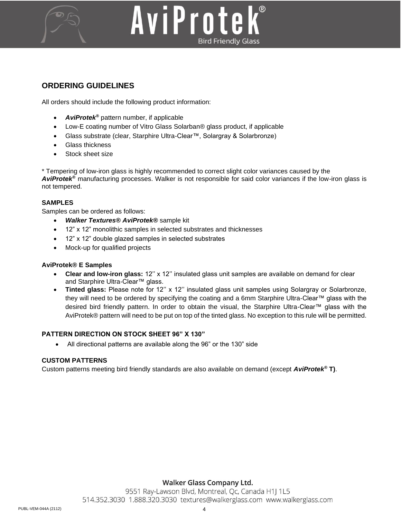

# AviProtek **Bird Friendly Glass**

## **ORDERING GUIDELINES**

All orders should include the following product information:

- *AviProtek®* pattern number, if applicable
- Low-E coating number of Vitro Glass Solarban® glass product, if applicable
- Glass substrate (clear, Starphire Ultra-Clear™, Solargray & Solarbronze)
- Glass thickness
- Stock sheet size

\* Tempering of low-iron glass is highly recommended to correct slight color variances caused by the *AviProtek®* manufacturing processes. Walker is not responsible for said color variances if the low-iron glass is not tempered.

## **SAMPLES**

Samples can be ordered as follows:

- *Walker Textures® AviProtek®* sample kit
- 12" x 12" monolithic samples in selected substrates and thicknesses
- 12" x 12" double glazed samples in selected substrates
- Mock-up for qualified projects

#### **AviProtek® E Samples**

- **Clear and low-iron glass:** 12'' x 12'' insulated glass unit samples are available on demand for clear and Starphire Ultra-Clear™ glass.
- **Tinted glass:** Please note for 12'' x 12'' insulated glass unit samples using Solargray or Solarbronze, they will need to be ordered by specifying the coating and a 6mm Starphire Ultra-Clear™ glass with the desired bird friendly pattern. In order to obtain the visual, the Starphire Ultra-Clear™ glass with the AviProtek® pattern will need to be put on top of the tinted glass. No exception to this rule will be permitted.

## **PATTERN DIRECTION ON STOCK SHEET 96" X 130"**

• All directional patterns are available along the 96" or the 130" side

## **CUSTOM PATTERNS**

Custom patterns meeting bird friendly standards are also available on demand (except *AviProtek®* **T)**.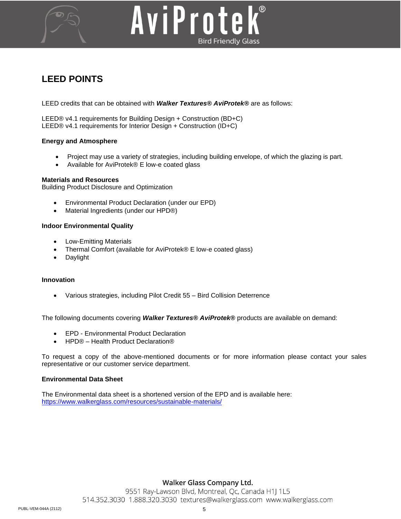# AviProtek **Bird Friendly Glass**

# **LEED POINTS**

LEED credits that can be obtained with *Walker Textures® AviProtek®* are as follows:

LEED® v4.1 requirements for Building Design + Construction (BD+C) LEED® v4.1 requirements for Interior Design + Construction (ID+C)

#### **Energy and Atmosphere**

- Project may use a variety of strategies, including building envelope, of which the glazing is part.
- Available for AviProtek® E low-e coated glass

#### **Materials and Resources**

Building Product Disclosure and Optimization

- Environmental Product Declaration (under our EPD)
- Material Ingredients (under our HPD®)

#### **Indoor Environmental Quality**

- Low-Emitting Materials
- Thermal Comfort (available for AviProtek® E low-e coated glass)
- Daylight

#### **Innovation**

• Various strategies, including Pilot Credit 55 – Bird Collision Deterrence

The following documents covering *Walker Textures® AviProtek®* products are available on demand:

- EPD Environmental Product Declaration
- HPD® Health Product Declaration®

To request a copy of the above-mentioned documents or for more information please contact your sales representative or our customer service department.

#### **Environmental Data Sheet**

The Environmental data sheet is a shortened version of the EPD and is available here: <https://www.walkerglass.com/resources/sustainable-materials/>

#### Walker Glass Company Ltd.

9551 Ray-Lawson Blvd, Montreal, Qc, Canada H1J 1L5 514.352.3030 1.888.320.3030 textures@walkerglass.com www.walkerglass.com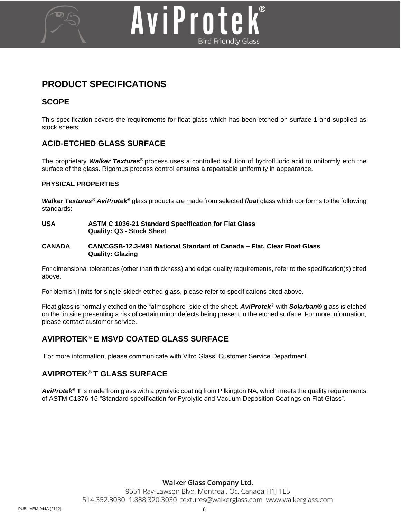

# AviProte **Bird Friendly Glass**

# **PRODUCT SPECIFICATIONS**

## **SCOPE**

This specification covers the requirements for float glass which has been etched on surface 1 and supplied as stock sheets.

## **ACID-ETCHED GLASS SURFACE**

The proprietary *Walker Textures®* process uses a controlled solution of hydrofluoric acid to uniformly etch the surface of the glass. Rigorous process control ensures a repeatable uniformity in appearance.

## **PHYSICAL PROPERTIES**

*Walker Textures® AviProtek®* glass products are made from selected *float* glass which conforms to the following standards:

**USA ASTM C 1036-21 Standard Specification for Flat Glass Quality: Q3 - Stock Sheet**

#### **CANADA CAN/CGSB-12.3-M91 National Standard of Canada – Flat, Clear Float Glass Quality: Glazing**

For dimensional tolerances (other than thickness) and edge quality requirements, refer to the specification(s) cited above.

For blemish limits for single-sided\* etched glass, please refer to specifications cited above.

Float glass is normally etched on the "atmosphere" side of the sheet. *AviProtek®* with *Solarban®* glass is etched on the tin side presenting a risk of certain minor defects being present in the etched surface. For more information, please contact customer service.

# **AVIPROTEK***®* **E MSVD COATED GLASS SURFACE**

For more information, please communicate with Vitro Glass' Customer Service Department.

## **AVIPROTEK***®* **T GLASS SURFACE**

*AviProtek®* **T** is made from glass with a pyrolytic coating from Pilkington NA, which meets the quality requirements of ASTM C1376-15 "Standard specification for Pyrolytic and Vacuum Deposition Coatings on Flat Glass".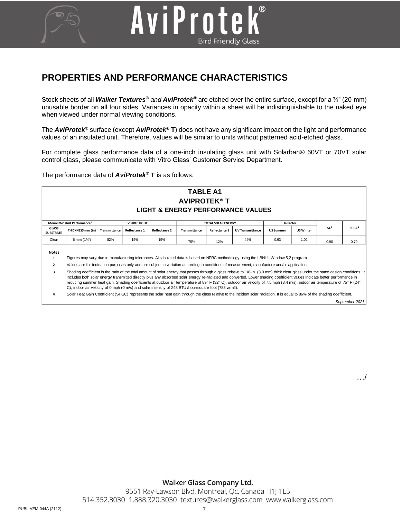# **PROPERTIES AND PERFORMANCE CHARACTERISTICS**

AviProte

Stock sheets of all *Walker Textures® and AviProtek®* are etched over the entire surface, except for a ¾" (20 mm) unusable border on all four sides. Variances in opacity within a sheet will be indistinguishable to the naked eye when viewed under normal viewing conditions.

**Bird Friendly Glass** 

The *AviProtek®* surface (except *AviProtek®* **T**) does not have any significant impact on the light and performance values of an insulated unit. Therefore, values will be similar to units without patterned acid-etched glass.

For complete glass performance data of a one-inch insulating glass unit with Solarban® 60VT or 70VT solar control glass, please communicate with Vitro Glass' Customer Service Department.

The performance data of *AviProtek®* **T** is as follows:



**3** Shading coefficient is the ratio of the total amount of solar energy that passes through a glass relative to 1/8-in. (3,0 mm) thick clear glass under the same design conditions. It includes both solar energy transmitted directly plus any absorbed solar energy re-radiated and converted. Lower shading coefficient values indicate better performance in reducing summer heat gain. Shading coefficients at outdoor air temperature of 89° F (32° C), outdoor air velocity of 7,5 mph (3,4 m/s), indoor air temperature of 75° F (24° C), indoor air velocity of 0 mph (0 m/s) and solar intensity of 248 BTU /hour/square foot (783 w/m2).

**4** Solar Heat Gain Coefficient (SHGC) represents the solar heat gain through the glass relative to the incident solar radiation. It is equal to 86% of the shading coefficient.

*September 2021*

…/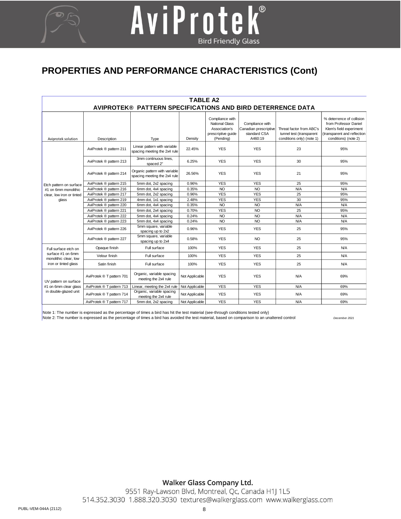# **PROPERTIES AND PERFORMANCE CHARACTERISTICS (Cont)**

AviProtek®

**Bird Friendly Glass** 

| <b>TABLE A2</b>                                                                            |                           |                                                               |                |                                                                                              |                                                                     |                                                                                   |                                                                                                                                      |  |  |  |  |
|--------------------------------------------------------------------------------------------|---------------------------|---------------------------------------------------------------|----------------|----------------------------------------------------------------------------------------------|---------------------------------------------------------------------|-----------------------------------------------------------------------------------|--------------------------------------------------------------------------------------------------------------------------------------|--|--|--|--|
| AVIPROTEK® PATTERN SPECIFICATIONS AND BIRD DETERRENCE DATA                                 |                           |                                                               |                |                                                                                              |                                                                     |                                                                                   |                                                                                                                                      |  |  |  |  |
| Aviprotek solution                                                                         | Description               | Type                                                          | Density        | Compliance with<br><b>National Glass</b><br>Association's<br>prescriptive guide<br>(Pending) | Compliance with<br>Canadian prescriptive<br>standard CSA<br>A460:19 | Threat factor from ABC's<br>tunnel test (transparent<br>conditions only) (note 1) | % deterrence of collision<br>from Professor Daniel<br>Klem's field experiment<br>(transparent and reflection<br>conditions) (note 2) |  |  |  |  |
| Etch pattern on surface<br>#1 on 6mm monolithic<br>clear, low iron or tinted<br>glass      | AviProtek ® pattern 211   | Linear pattern with variable<br>spacing meeting the 2x4 rule  | 22.45%         | <b>YES</b>                                                                                   | <b>YES</b>                                                          | 23                                                                                | 95%                                                                                                                                  |  |  |  |  |
|                                                                                            | AviProtek ® pattern 213   | 3mm continuous lines.<br>spaced 2"                            | 6.25%          | <b>YES</b>                                                                                   | <b>YES</b>                                                          | 30                                                                                | 95%                                                                                                                                  |  |  |  |  |
|                                                                                            | AviProtek ® pattern 214   | Organic pattern with variable<br>spacing meeting the 2x4 rule | 26.56%         | <b>YES</b>                                                                                   | <b>YES</b>                                                          | 21                                                                                | 95%                                                                                                                                  |  |  |  |  |
|                                                                                            | AviProtek ® pattern 215   | 5mm dot, 2x2 spacing                                          | 0.96%          | <b>YES</b>                                                                                   | <b>YES</b>                                                          | 25                                                                                | 95%                                                                                                                                  |  |  |  |  |
|                                                                                            | AviProtek ® pattern 216   | 6mm dot, 4x4 spacing                                          | 0.35%          | NO                                                                                           | <b>NO</b>                                                           | N/A                                                                               | N/A                                                                                                                                  |  |  |  |  |
|                                                                                            | AviProtek ® pattern 217   | 5mm dot, 2x2 spacing                                          | 0.96%          | <b>YES</b>                                                                                   | <b>YES</b>                                                          | 25                                                                                | 95%                                                                                                                                  |  |  |  |  |
|                                                                                            | AviProtek ® pattern 219   | 4mm dot, 1x1 spacing                                          | 2.48%          | <b>YES</b>                                                                                   | <b>YES</b>                                                          | 30                                                                                | 95%                                                                                                                                  |  |  |  |  |
|                                                                                            | AviProtek ® pattern 220   | 6mm dot, 4x4 spacing                                          | 0.35%          | <b>NO</b>                                                                                    | N <sub>O</sub>                                                      | <b>N/A</b>                                                                        | N/A                                                                                                                                  |  |  |  |  |
|                                                                                            | AviProtek ® pattern 221   | 6mm dot, 2x4 spacing                                          | 0.70%          | <b>YES</b>                                                                                   | <b>NO</b>                                                           | 25                                                                                | 95%                                                                                                                                  |  |  |  |  |
|                                                                                            | AviProtek ® pattern 222   | 5mm dot, 4x4 spacing                                          | 0.24%          | NO                                                                                           | N <sub>O</sub>                                                      | N/A                                                                               | <b>N/A</b>                                                                                                                           |  |  |  |  |
|                                                                                            | AviProtek ® pattern 223   | 5mm dot, 4x4 spacing                                          | 0.24%          | <b>NO</b>                                                                                    | N <sub>O</sub>                                                      | N/A                                                                               | N/A                                                                                                                                  |  |  |  |  |
|                                                                                            | AviProtek ® pattern 226   | 5mm square, variable<br>spacing up to 2x2                     | 0.96%          | <b>YES</b>                                                                                   | <b>YES</b>                                                          | 25                                                                                | 95%                                                                                                                                  |  |  |  |  |
|                                                                                            | AviProtek ® pattern 227   | 5mm square, variable<br>spacing up to 2x4                     | 0.58%          | <b>YES</b>                                                                                   | NO <sub>1</sub>                                                     | 25                                                                                | 95%                                                                                                                                  |  |  |  |  |
| Full surface etch on<br>surface #1 on 6mm<br>monolithic clear, low<br>iron or tinted glass | Opaque finish             | Full surface                                                  | 100%           | <b>YES</b>                                                                                   | <b>YES</b>                                                          | 25                                                                                | N/A                                                                                                                                  |  |  |  |  |
|                                                                                            | Velour finish             | Full surface                                                  | 100%           | <b>YES</b>                                                                                   | <b>YES</b>                                                          | 25                                                                                | N/A                                                                                                                                  |  |  |  |  |
|                                                                                            | Satin finish              | Full surface                                                  | 100%           | <b>YES</b>                                                                                   | <b>YES</b>                                                          | 25                                                                                | N/A                                                                                                                                  |  |  |  |  |
| UV pattern on surface<br>#1 on 6mm clear glass<br>in double-glazed unit                    | AviProtek ® T pattern 701 | Organic, variable spacing<br>meeting the 2x4 rule             | Not Applicable | <b>YES</b>                                                                                   | <b>YES</b>                                                          | N/A                                                                               | 69%                                                                                                                                  |  |  |  |  |
|                                                                                            | AviProtek ® T pattern 713 | Linear, meeting the 2x4 rule                                  | Not Applicable | <b>YES</b>                                                                                   | <b>YES</b>                                                          | N/A                                                                               | 69%                                                                                                                                  |  |  |  |  |
|                                                                                            | AviProtek ® T pattern 714 | Organic, variable spacing<br>meeting the 2x4 rule             | Not Applicable | <b>YES</b>                                                                                   | <b>YES</b>                                                          | <b>N/A</b>                                                                        | 69%                                                                                                                                  |  |  |  |  |
|                                                                                            | AviProtek ® T pattern 717 | 5mm dot, 2x2 spacing                                          | Not Applicable | <b>YES</b>                                                                                   | <b>YES</b>                                                          | <b>N/A</b>                                                                        | 69%                                                                                                                                  |  |  |  |  |

Note 1: The number is expressed as the percentage of times a bird has hit the test material (see-through conditions tested only)

Note 2: The number is expressed as the percentage of times a bird has avoided the test material, based on comparison to an unaltered control *December 2021*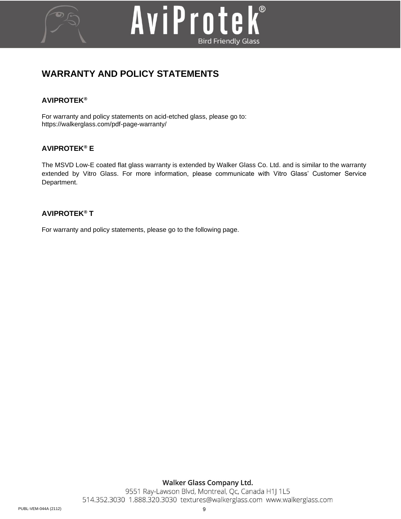# AviProte  $\mathbf{k}^{\circ}$ **Bird Friendly Glass**

# **WARRANTY AND POLICY STATEMENTS**

## **AVIPROTEK***®*

For warranty and policy statements on acid-etched glass, please go to: <https://walkerglass.com/pdf-page-warranty/>

# **AVIPROTEK***®* **E**

The MSVD Low-E coated flat glass warranty is extended by Walker Glass Co. Ltd. and is similar to the warranty extended by Vitro Glass. For more information, please communicate with Vitro Glass' Customer Service Department.

## **AVIPROTEK***®* **T**

For warranty and policy statements, please go to the following page.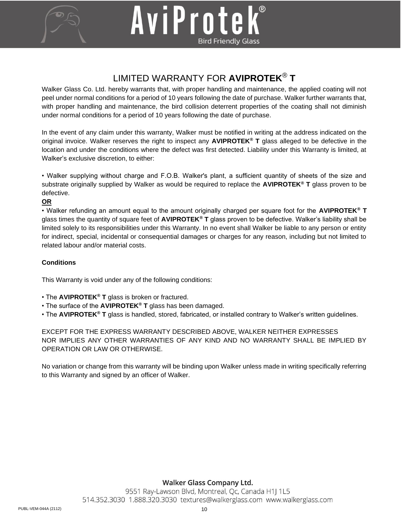

# AviProtek **Bird Friendly Glass**

# LIMITED WARRANTY FOR **AVIPROTEK**® **T**

Walker Glass Co. Ltd. hereby warrants that, with proper handling and maintenance, the applied coating will not peel under normal conditions for a period of 10 years following the date of purchase. Walker further warrants that, with proper handling and maintenance, the bird collision deterrent properties of the coating shall not diminish under normal conditions for a period of 10 years following the date of purchase.

In the event of any claim under this warranty, Walker must be notified in writing at the address indicated on the original invoice. Walker reserves the right to inspect any **AVIPROTEK***®* **T** glass alleged to be defective in the location and under the conditions where the defect was first detected. Liability under this Warranty is limited, at Walker's exclusive discretion, to either:

• Walker supplying without charge and F.O.B. Walker's plant, a sufficient quantity of sheets of the size and substrate originally supplied by Walker as would be required to replace the **AVIPROTEK***®* **T** glass proven to be defective.

## **OR**

• Walker refunding an amount equal to the amount originally charged per square foot for the **AVIPROTEK***®* **T**  glass times the quantity of square feet of **AVIPROTEK***®* **T** glass proven to be defective. Walker's liability shall be limited solely to its responsibilities under this Warranty. In no event shall Walker be liable to any person or entity for indirect, special, incidental or consequential damages or charges for any reason, including but not limited to related labour and/or material costs.

### **Conditions**

This Warranty is void under any of the following conditions:

- The **AVIPROTEK***®* **T** glass is broken or fractured.
- The surface of the **AVIPROTEK***®* **T** glass has been damaged.
- The **AVIPROTEK***®* **T** glass is handled, stored, fabricated, or installed contrary to Walker's written guidelines.

EXCEPT FOR THE EXPRESS WARRANTY DESCRIBED ABOVE, WALKER NEITHER EXPRESSES NOR IMPLIES ANY OTHER WARRANTIES OF ANY KIND AND NO WARRANTY SHALL BE IMPLIED BY OPERATION OR LAW OR OTHERWISE.

No variation or change from this warranty will be binding upon Walker unless made in writing specifically referring to this Warranty and signed by an officer of Walker.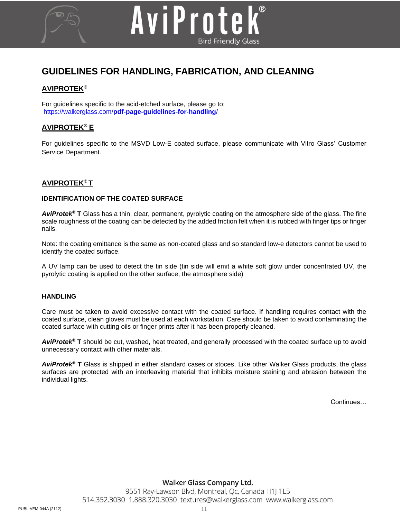# **GUIDELINES FOR HANDLING, FABRICATION, AND CLEANING**

AviProte

**Bird Friendly Glass** 

## **AVIPROTEK***®*

For guidelines specific to the acid-etched surface, please go to: https://walkerglass.com/**[pdf-page-guidelines-for-handling](https://walkerglass.com/pdf-page-guidelines-for-handling/)**/

## **AVIPROTEK***®* **E**

For guidelines specific to the MSVD Low-E coated surface, please communicate with Vitro Glass' Customer Service Department.

## **AVIPROTEK***®* **T**

#### **IDENTIFICATION OF THE COATED SURFACE**

*AviProtek®* **T** Glass has a thin, clear, permanent, pyrolytic coating on the atmosphere side of the glass. The fine scale roughness of the coating can be detected by the added friction felt when it is rubbed with finger tips or finger nails.

Note: the coating emittance is the same as non-coated glass and so standard low-e detectors cannot be used to identify the coated surface.

A UV lamp can be used to detect the tin side (tin side will emit a white soft glow under concentrated UV, the pyrolytic coating is applied on the other surface, the atmosphere side)

#### **HANDLING**

Care must be taken to avoid excessive contact with the coated surface. If handling requires contact with the coated surface, clean gloves must be used at each workstation. Care should be taken to avoid contaminating the coated surface with cutting oils or finger prints after it has been properly cleaned.

*AviProtek®* **T** should be cut, washed, heat treated, and generally processed with the coated surface up to avoid unnecessary contact with other materials.

*AviProtek®* **T** Glass is shipped in either standard cases or stoces. Like other Walker Glass products, the glass surfaces are protected with an interleaving material that inhibits moisture staining and abrasion between the individual lights.

Continues…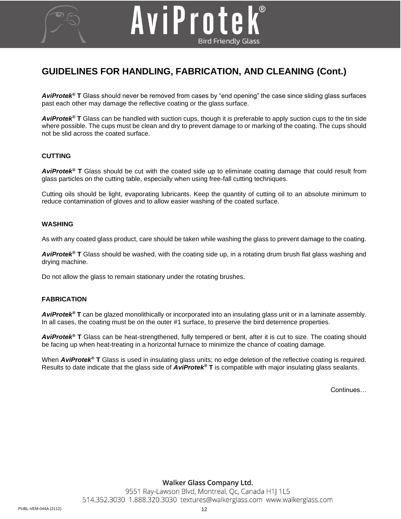# **GUIDELINES FOR HANDLING, FABRICATION, AND CLEANING (Cont.)**

AviProte

*AviProtek®* **T** Glass should never be removed from cases by "end opening" the case since sliding glass surfaces past each other may damage the reflective coating or the glass surface.

**Bird Friendly Glass** 

*AviProtek®* **T** Glass can be handled with suction cups, though it is preferable to apply suction cups to the tin side where possible. The cups must be clean and dry to prevent damage to or marking of the coating. The cups should not be slid across the coated surface.

#### **CUTTING**

*AviProtek®* **T** Glass should be cut with the coated side up to eliminate coating damage that could result from glass particles on the cutting table, especially when using free-fall cutting techniques.

Cutting oils should be light, evaporating lubricants. Keep the quantity of cutting oil to an absolute minimum to reduce contamination of gloves and to allow easier washing of the coated surface.

#### **WASHING**

As with any coated glass product, care should be taken while washing the glass to prevent damage to the coating.

*AviProtek®* **T** Glass should be washed, with the coating side up, in a rotating drum brush flat glass washing and drying machine.

Do not allow the glass to remain stationary under the rotating brushes.

#### **FABRICATION**

*AviProtek®* **T** can be glazed monolithically or incorporated into an insulating glass unit or in a laminate assembly. In all cases, the coating must be on the outer #1 surface, to preserve the bird deterrence properties.

*AviProtek®* **T** Glass can be heat-strengthened, fully tempered or bent, after it is cut to size. The coating should be facing up when heat-treating in a horizontal furnace to minimize the chance of coating damage.

When **AviProtek<sup>®</sup> T** Glass is used in insulating glass units; no edge deletion of the reflective coating is required. Results to date indicate that the glass side of *AviProtek®* **T** is compatible with major insulating glass sealants.

Continues…